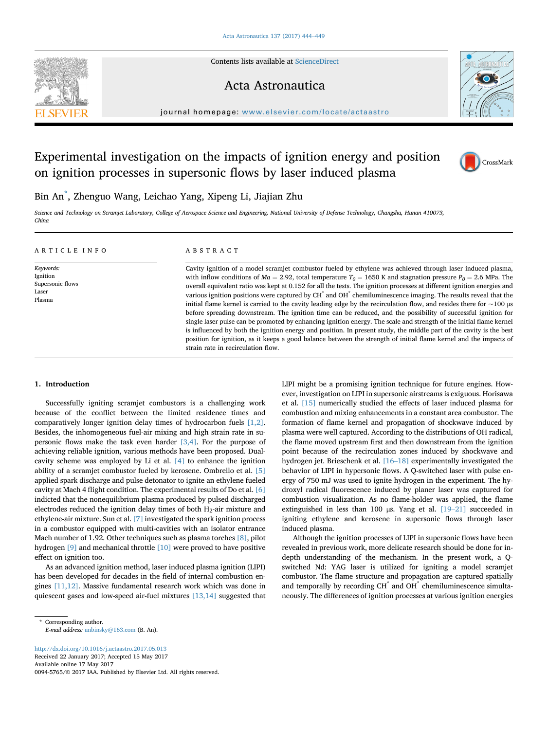Contents lists available at [ScienceDirect](www.sciencedirect.com/science/journal/00945765)

### Acta Astronautica



journal homepage: [www.elsevier.com/locate/actaastro](http://www.elsevier.com/locate/actaastro)

# Experimental investigation on the impacts of ignition energy and position on ignition processes in supersonic flows by laser induced plasma



## Bin An\* , Zhenguo Wang, Leichao Yang, Xipeng Li, Jiajian Zhu

Science and Technology on Scramjet Laboratory, College of Aerospace Science and Engineering, National University of Defense Technology, Changsha, Hunan 410073, China

strain rate in recirculation flow.

| ARTICLE INFO                                                 | ABSTRACT                                                                                                                                                                                                                                                                                                                                                                                                                                                                                                                                                                                                                                                                                                                                                                                                                                                                                                                                                                                                                                                                                                                        |
|--------------------------------------------------------------|---------------------------------------------------------------------------------------------------------------------------------------------------------------------------------------------------------------------------------------------------------------------------------------------------------------------------------------------------------------------------------------------------------------------------------------------------------------------------------------------------------------------------------------------------------------------------------------------------------------------------------------------------------------------------------------------------------------------------------------------------------------------------------------------------------------------------------------------------------------------------------------------------------------------------------------------------------------------------------------------------------------------------------------------------------------------------------------------------------------------------------|
| Keywords:<br>Ignition<br>Supersonic flows<br>Laser<br>Plasma | Cavity ignition of a model scramjet combustor fueled by ethylene was achieved through laser induced plasma,<br>with inflow conditions of $Ma = 2.92$ , total temperature $T_0 = 1650$ K and stagnation pressure $P_0 = 2.6$ MPa. The<br>overall equivalent ratio was kept at 0.152 for all the tests. The ignition processes at different ignition energies and<br>various ignition positions were captured by CH <sup>*</sup> and OH <sup>*</sup> chemiluminescence imaging. The results reveal that the<br>initial flame kernel is carried to the cavity leading edge by the recirculation flow, and resides there for $\sim$ 100 $\mu$ s<br>before spreading downstream. The ignition time can be reduced, and the possibility of successful ignition for<br>single laser pulse can be promoted by enhancing ignition energy. The scale and strength of the initial flame kernel<br>is influenced by both the ignition energy and position. In present study, the middle part of the cavity is the best<br>position for ignition, as it keeps a good balance between the strength of initial flame kernel and the impacts of |

#### 1. Introduction

Successfully igniting scramjet combustors is a challenging work because of the conflict between the limited residence times and comparatively longer ignition delay times of hydrocarbon fuels [\[1,2\].](#page--1-0) Besides, the inhomogeneous fuel-air mixing and high strain rate in supersonic flows make the task even harder  $[3,4]$ . For the purpose of achieving reliable ignition, various methods have been proposed. Dualcavity scheme was employed by Li et al. [\[4\]](#page--1-0) to enhance the ignition ability of a scramjet combustor fueled by kerosene. Ombrello et al. [\[5\]](#page--1-0) applied spark discharge and pulse detonator to ignite an ethylene fueled cavity at Mach 4 flight condition. The experimental results of Do et al. [\[6\]](#page--1-0) indicted that the nonequilibrium plasma produced by pulsed discharged electrodes reduced the ignition delay times of both  $H_2$ -air mixture and ethylene-air mixture. Sun et al. [\[7\]](#page--1-0) investigated the spark ignition process in a combustor equipped with multi-cavities with an isolator entrance Mach number of 1.92. Other techniques such as plasma torches [\[8\],](#page--1-0) pilot hydrogen [\[9\]](#page--1-0) and mechanical throttle [\[10\]](#page--1-0) were proved to have positive effect on ignition too.

As an advanced ignition method, laser induced plasma ignition (LIPI) has been developed for decades in the field of internal combustion engines [\[11,12\]](#page--1-0). Massive fundamental research work which was done in quiescent gases and low-speed air-fuel mixtures [\[13,14\]](#page--1-0) suggested that

<http://dx.doi.org/10.1016/j.actaastro.2017.05.013> Received 22 January 2017; Accepted 15 May 2017 Available online 17 May 2017 0094-5765/© 2017 IAA. Published by Elsevier Ltd. All rights reserved. LIPI might be a promising ignition technique for future engines. However, investigation on LIPI in supersonic airstreams is exiguous. Horisawa et al. [\[15\]](#page--1-0) numerically studied the effects of laser induced plasma for combustion and mixing enhancements in a constant area combustor. The formation of flame kernel and propagation of shockwave induced by plasma were well captured. According to the distributions of OH radical, the flame moved upstream first and then downstream from the ignition point because of the recirculation zones induced by shockwave and hydrogen jet. Brieschenk et al. [\[16](#page--1-0)–[18\]](#page--1-0) experimentally investigated the behavior of LIPI in hypersonic flows. A Q-switched laser with pulse energy of 750 mJ was used to ignite hydrogen in the experiment. The hydroxyl radical fluorescence induced by planer laser was captured for combustion visualization. As no flame-holder was applied, the flame extinguished in less than 100 <sup>μ</sup>s. Yang et al. [\[19](#page--1-0)–[21\]](#page--1-0) succeeded in igniting ethylene and kerosene in supersonic flows through laser induced plasma.

Although the ignition processes of LIPI in supersonic flows have been revealed in previous work, more delicate research should be done for indepth understanding of the mechanism. In the present work, a Qswitched Nd: YAG laser is utilized for igniting a model scramjet combustor. The flame structure and propagation are captured spatially and temporally by recording CH<sup>\*</sup> and OH<sup>\*</sup> chemiluminescence simultaneously. The differences of ignition processes at various ignition energies

<sup>\*</sup> Corresponding author. E-mail address: [anbinsky@163.com](mailto:anbinsky@163.com) (B. An).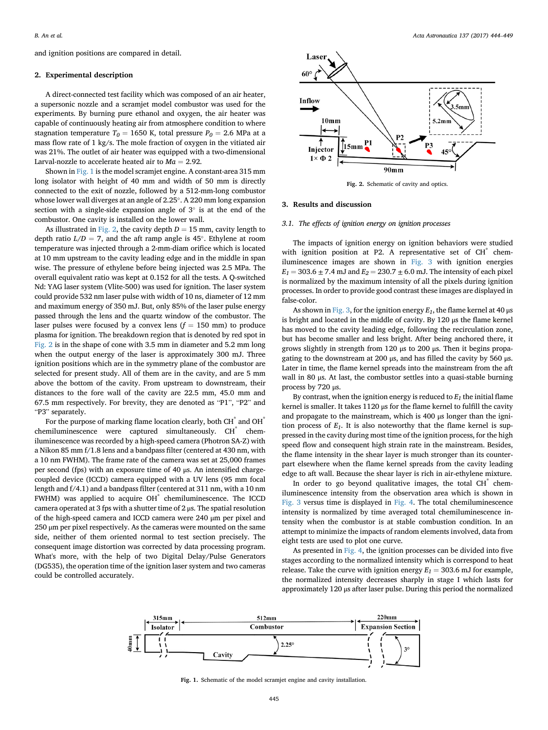and ignition positions are compared in detail.

#### 2. Experimental description

A direct-connected test facility which was composed of an air heater, a supersonic nozzle and a scramjet model combustor was used for the experiments. By burning pure ethanol and oxygen, the air heater was capable of continuously heating air from atmosphere condition to where stagnation temperature  $T_0 = 1650$  K, total pressure  $P_0 = 2.6$  MPa at a mass flow rate of 1 kg/s. The mole fraction of oxygen in the vitiated air was 21%. The outlet of air heater was equipped with a two-dimensional Larval-nozzle to accelerate heated air to  $Ma = 2.92$ .

Shown in Fig. 1 is the model scramjet engine. A constant-area 315 mm long isolator with height of 40 mm and width of 50 mm is directly connected to the exit of nozzle, followed by a 512-mm-long combustor whose lower wall diverges at an angle of 2.25°. A 220 mm long expansion section with a single-side expansion angle of  $3^\circ$  is at the end of the combustor. One cavity is installed on the lower wall.

As illustrated in Fig. 2, the cavity depth  $D = 15$  mm, cavity length to depth ratio  $L/D = 7$ , and the aft ramp angle is 45°. Ethylene at room temperature was injected through a 2-mm-diam orifice which is located at 10 mm upstream to the cavity leading edge and in the middle in span wise. The pressure of ethylene before being injected was 2.5 MPa. The overall equivalent ratio was kept at 0.152 for all the tests. A Q-switched Nd: YAG laser system (Vlite-500) was used for ignition. The laser system could provide 532 nm laser pulse with width of 10 ns, diameter of 12 mm and maximum energy of 350 mJ. But, only 85% of the laser pulse energy passed through the lens and the quartz window of the combustor. The laser pulses were focused by a convex lens  $(f = 150 \text{ mm})$  to produce plasma for ignition. The breakdown region that is denoted by red spot in Fig. 2 is in the shape of cone with 3.5 mm in diameter and 5.2 mm long when the output energy of the laser is approximately 300 mJ. Three ignition positions which are in the symmetry plane of the combustor are selected for present study. All of them are in the cavity, and are 5 mm above the bottom of the cavity. From upstream to downstream, their distances to the fore wall of the cavity are 22.5 mm, 45.0 mm and 67.5 mm respectively. For brevity, they are denoted as "P1", "P2" and "P3" separately.

For the purpose of marking flame location clearly, both  $CH^*$  and  $OH^*$ chemiluminescence were captured simultaneously. CH<sup>\*</sup> chemiluminescence was recorded by a high-speed camera (Photron SA-Z) with a Nikon 85 mm f/1.8 lens and a bandpass filter (centered at 430 nm, with a 10 nm FWHM). The frame rate of the camera was set at 25,000 frames per second (fps) with an exposure time of 40 μs. An intensified chargecoupled device (ICCD) camera equipped with a UV lens (95 mm focal length and f/4.1) and a bandpass filter (centered at 311 nm, with a 10 nm FWHM) was applied to acquire OH<sup>\*</sup> chemiluminescence. The ICCD camera operated at 3 fps with a shutter time of 2 μs. The spatial resolution of the high-speed camera and ICCD camera were 240 μm per pixel and 250 μm per pixel respectively. As the cameras were mounted on the same side, neither of them oriented normal to test section precisely. The consequent image distortion was corrected by data processing program. What's more, with the help of two Digital Delay/Pulse Generators (DG535), the operation time of the ignition laser system and two cameras could be controlled accurately.



Fig. 2. Schematic of cavity and optics.

#### 3. Results and discussion

#### 3.1. The effects of ignition energy on ignition processes

The impacts of ignition energy on ignition behaviors were studied with ignition position at P2. A representative set of CH<sup>\*</sup> chemiluminescence images are shown in [Fig. 3](#page--1-0) with ignition energies  $E_1 = 303.6 \pm 7.4$  mJ and  $E_2 = 230.7 \pm 6.0$  mJ. The intensity of each pixel is normalized by the maximum intensity of all the pixels during ignition processes. In order to provide good contrast these images are displayed in false-color.

As shown in [Fig. 3,](#page--1-0) for the ignition energy  $E_1$ , the flame kernel at 40  $\mu$ s is bright and located in the middle of cavity. By 120 μs the flame kernel has moved to the cavity leading edge, following the recirculation zone, but has become smaller and less bright. After being anchored there, it grows slightly in strength from 120 μs to 200 μs. Then it begins propagating to the downstream at 200 μs, and has filled the cavity by 560 μs. Later in time, the flame kernel spreads into the mainstream from the aft wall in 80 μs. At last, the combustor settles into a quasi-stable burning process by 720 μs.

By contrast, when the ignition energy is reduced to  $E_1$  the initial flame kernel is smaller. It takes 1120 μs for the flame kernel to fulfill the cavity and propagate to the mainstream, which is 400 μs longer than the ignition process of  $E_1$ . It is also noteworthy that the flame kernel is suppressed in the cavity during most time of the ignition process, for the high speed flow and consequent high strain rate in the mainstream. Besides, the flame intensity in the shear layer is much stronger than its counterpart elsewhere when the flame kernel spreads from the cavity leading edge to aft wall. Because the shear layer is rich in air-ethylene mixture.

In order to go beyond qualitative images, the total  $CH^{\dagger}$  chemiluminescence intensity from the observation area which is shown in [Fig. 3](#page--1-0) versus time is displayed in [Fig. 4](#page--1-0). The total chemiluminescence intensity is normalized by time averaged total chemiluminescence intensity when the combustor is at stable combustion condition. In an attempt to minimize the impacts of random elements involved, data from eight tests are used to plot one curve.

As presented in [Fig. 4,](#page--1-0) the ignition processes can be divided into five stages according to the normalized intensity which is correspond to heat release. Take the curve with ignition energy  $E_1 = 303.6$  mJ for example, the normalized intensity decreases sharply in stage I which lasts for approximately 120 μs after laser pulse. During this period the normalized



Fig. 1. Schematic of the model scramjet engine and cavity installation.